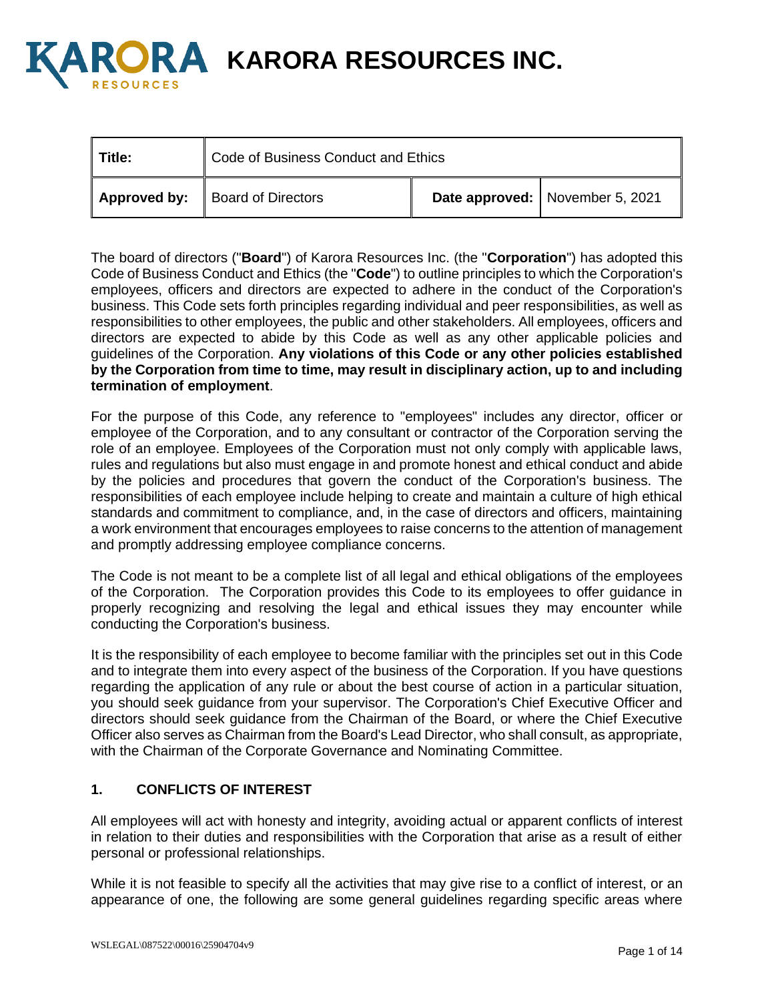

**A KARORA RESOURCES INC.** 

| Title: | Code of Business Conduct and Ethics                |  |                                 |
|--------|----------------------------------------------------|--|---------------------------------|
|        | <b>Approved by:</b> $\parallel$ Board of Directors |  | Date approved: November 5, 2021 |

The board of directors ("**Board**") of Karora Resources Inc. (the "**Corporation**") has adopted this Code of Business Conduct and Ethics (the "**Code**") to outline principles to which the Corporation's employees, officers and directors are expected to adhere in the conduct of the Corporation's business. This Code sets forth principles regarding individual and peer responsibilities, as well as responsibilities to other employees, the public and other stakeholders. All employees, officers and directors are expected to abide by this Code as well as any other applicable policies and guidelines of the Corporation. **Any violations of this Code or any other policies established by the Corporation from time to time, may result in disciplinary action, up to and including termination of employment**.

For the purpose of this Code, any reference to "employees" includes any director, officer or employee of the Corporation, and to any consultant or contractor of the Corporation serving the role of an employee. Employees of the Corporation must not only comply with applicable laws, rules and regulations but also must engage in and promote honest and ethical conduct and abide by the policies and procedures that govern the conduct of the Corporation's business. The responsibilities of each employee include helping to create and maintain a culture of high ethical standards and commitment to compliance, and, in the case of directors and officers, maintaining a work environment that encourages employees to raise concerns to the attention of management and promptly addressing employee compliance concerns.

The Code is not meant to be a complete list of all legal and ethical obligations of the employees of the Corporation. The Corporation provides this Code to its employees to offer guidance in properly recognizing and resolving the legal and ethical issues they may encounter while conducting the Corporation's business.

It is the responsibility of each employee to become familiar with the principles set out in this Code and to integrate them into every aspect of the business of the Corporation. If you have questions regarding the application of any rule or about the best course of action in a particular situation, you should seek guidance from your supervisor. The Corporation's Chief Executive Officer and directors should seek guidance from the Chairman of the Board, or where the Chief Executive Officer also serves as Chairman from the Board's Lead Director, who shall consult, as appropriate, with the Chairman of the Corporate Governance and Nominating Committee.

## **1. CONFLICTS OF INTEREST**

All employees will act with honesty and integrity, avoiding actual or apparent conflicts of interest in relation to their duties and responsibilities with the Corporation that arise as a result of either personal or professional relationships.

While it is not feasible to specify all the activities that may give rise to a conflict of interest, or an appearance of one, the following are some general guidelines regarding specific areas where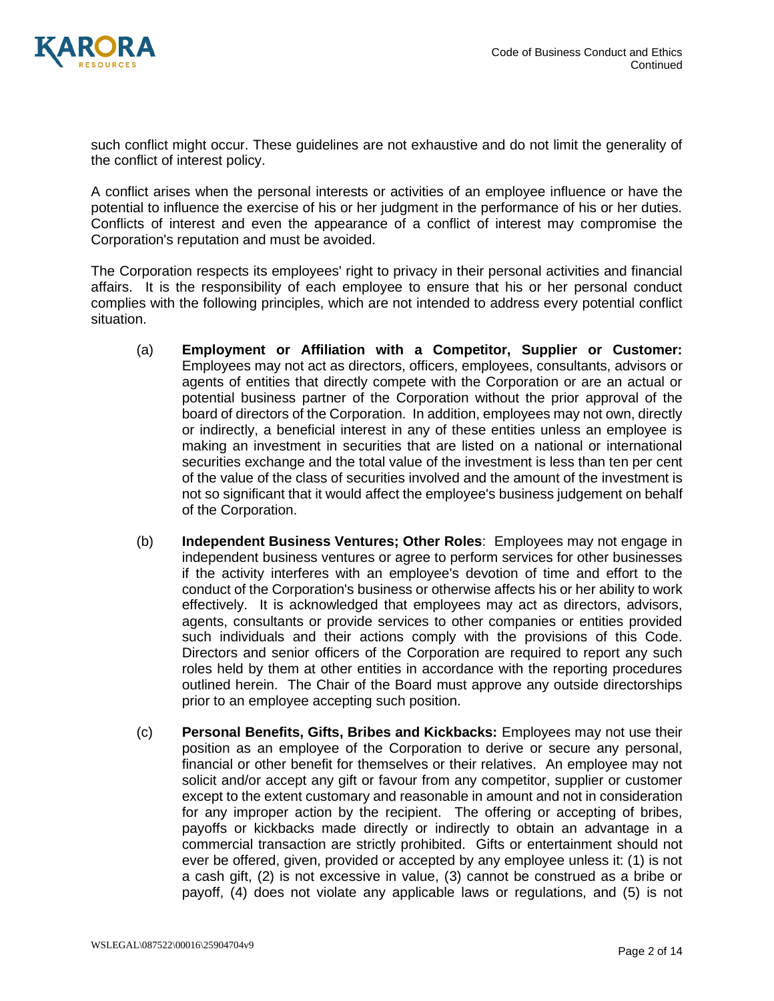

such conflict might occur. These guidelines are not exhaustive and do not limit the generality of the conflict of interest policy.

A conflict arises when the personal interests or activities of an employee influence or have the potential to influence the exercise of his or her judgment in the performance of his or her duties. Conflicts of interest and even the appearance of a conflict of interest may compromise the Corporation's reputation and must be avoided.

The Corporation respects its employees' right to privacy in their personal activities and financial affairs. It is the responsibility of each employee to ensure that his or her personal conduct complies with the following principles, which are not intended to address every potential conflict situation.

- (a) **Employment or Affiliation with a Competitor, Supplier or Customer:** Employees may not act as directors, officers, employees, consultants, advisors or agents of entities that directly compete with the Corporation or are an actual or potential business partner of the Corporation without the prior approval of the board of directors of the Corporation. In addition, employees may not own, directly or indirectly, a beneficial interest in any of these entities unless an employee is making an investment in securities that are listed on a national or international securities exchange and the total value of the investment is less than ten per cent of the value of the class of securities involved and the amount of the investment is not so significant that it would affect the employee's business judgement on behalf of the Corporation.
- (b) **Independent Business Ventures; Other Roles**: Employees may not engage in independent business ventures or agree to perform services for other businesses if the activity interferes with an employee's devotion of time and effort to the conduct of the Corporation's business or otherwise affects his or her ability to work effectively. It is acknowledged that employees may act as directors, advisors, agents, consultants or provide services to other companies or entities provided such individuals and their actions comply with the provisions of this Code. Directors and senior officers of the Corporation are required to report any such roles held by them at other entities in accordance with the reporting procedures outlined herein. The Chair of the Board must approve any outside directorships prior to an employee accepting such position.
- (c) **Personal Benefits, Gifts, Bribes and Kickbacks:** Employees may not use their position as an employee of the Corporation to derive or secure any personal, financial or other benefit for themselves or their relatives. An employee may not solicit and/or accept any gift or favour from any competitor, supplier or customer except to the extent customary and reasonable in amount and not in consideration for any improper action by the recipient. The offering or accepting of bribes, payoffs or kickbacks made directly or indirectly to obtain an advantage in a commercial transaction are strictly prohibited. Gifts or entertainment should not ever be offered, given, provided or accepted by any employee unless it: (1) is not a cash gift, (2) is not excessive in value, (3) cannot be construed as a bribe or payoff, (4) does not violate any applicable laws or regulations, and (5) is not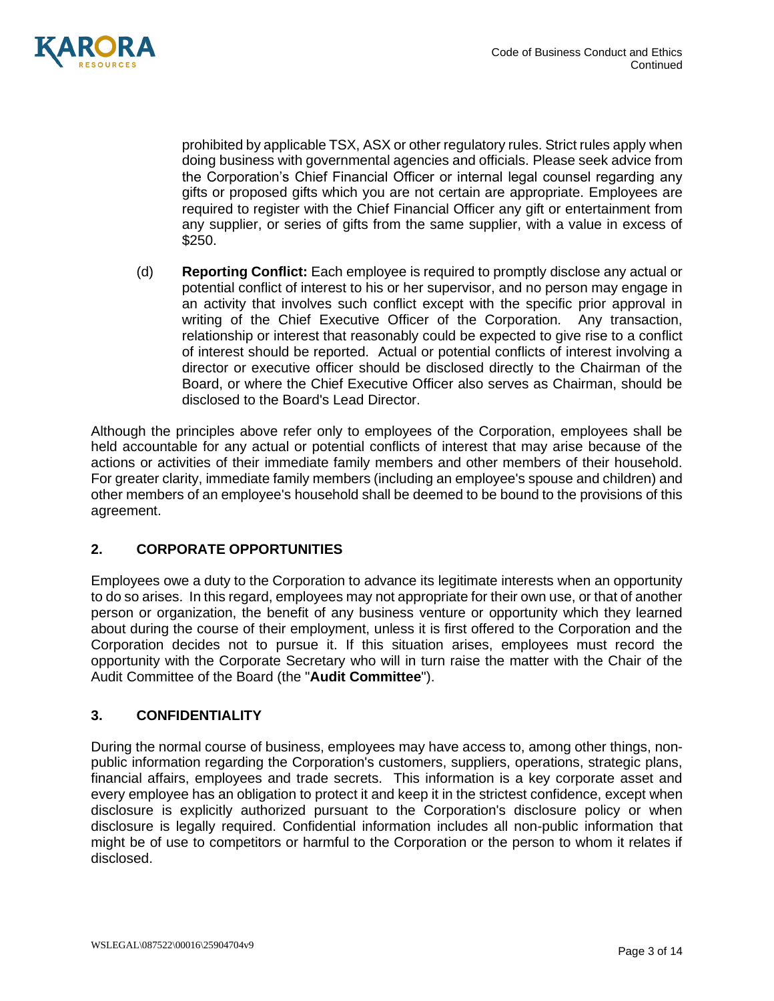

prohibited by applicable TSX, ASX or other regulatory rules. Strict rules apply when doing business with governmental agencies and officials. Please seek advice from the Corporation's Chief Financial Officer or internal legal counsel regarding any gifts or proposed gifts which you are not certain are appropriate. Employees are required to register with the Chief Financial Officer any gift or entertainment from any supplier, or series of gifts from the same supplier, with a value in excess of \$250.

(d) **Reporting Conflict:** Each employee is required to promptly disclose any actual or potential conflict of interest to his or her supervisor, and no person may engage in an activity that involves such conflict except with the specific prior approval in writing of the Chief Executive Officer of the Corporation. Any transaction, relationship or interest that reasonably could be expected to give rise to a conflict of interest should be reported. Actual or potential conflicts of interest involving a director or executive officer should be disclosed directly to the Chairman of the Board, or where the Chief Executive Officer also serves as Chairman, should be disclosed to the Board's Lead Director.

Although the principles above refer only to employees of the Corporation, employees shall be held accountable for any actual or potential conflicts of interest that may arise because of the actions or activities of their immediate family members and other members of their household. For greater clarity, immediate family members (including an employee's spouse and children) and other members of an employee's household shall be deemed to be bound to the provisions of this agreement.

# **2. CORPORATE OPPORTUNITIES**

Employees owe a duty to the Corporation to advance its legitimate interests when an opportunity to do so arises. In this regard, employees may not appropriate for their own use, or that of another person or organization, the benefit of any business venture or opportunity which they learned about during the course of their employment, unless it is first offered to the Corporation and the Corporation decides not to pursue it. If this situation arises, employees must record the opportunity with the Corporate Secretary who will in turn raise the matter with the Chair of the Audit Committee of the Board (the "**Audit Committee**").

## **3. CONFIDENTIALITY**

During the normal course of business, employees may have access to, among other things, nonpublic information regarding the Corporation's customers, suppliers, operations, strategic plans, financial affairs, employees and trade secrets. This information is a key corporate asset and every employee has an obligation to protect it and keep it in the strictest confidence, except when disclosure is explicitly authorized pursuant to the Corporation's disclosure policy or when disclosure is legally required. Confidential information includes all non-public information that might be of use to competitors or harmful to the Corporation or the person to whom it relates if disclosed.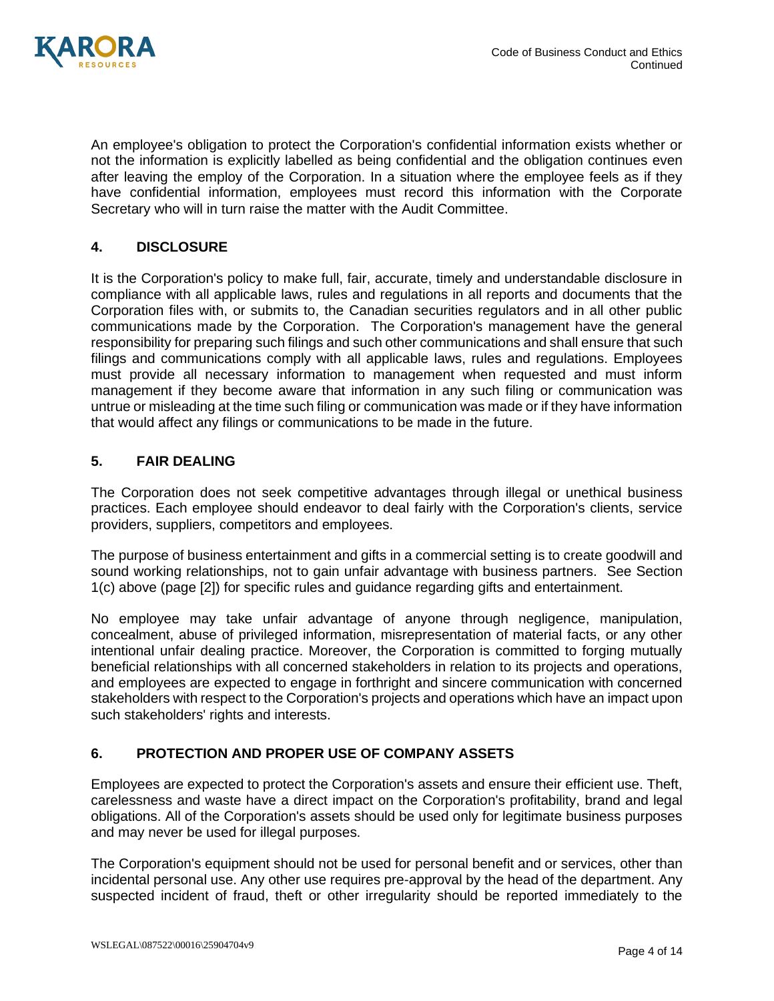

An employee's obligation to protect the Corporation's confidential information exists whether or not the information is explicitly labelled as being confidential and the obligation continues even after leaving the employ of the Corporation. In a situation where the employee feels as if they have confidential information, employees must record this information with the Corporate Secretary who will in turn raise the matter with the Audit Committee.

# **4. DISCLOSURE**

It is the Corporation's policy to make full, fair, accurate, timely and understandable disclosure in compliance with all applicable laws, rules and regulations in all reports and documents that the Corporation files with, or submits to, the Canadian securities regulators and in all other public communications made by the Corporation. The Corporation's management have the general responsibility for preparing such filings and such other communications and shall ensure that such filings and communications comply with all applicable laws, rules and regulations. Employees must provide all necessary information to management when requested and must inform management if they become aware that information in any such filing or communication was untrue or misleading at the time such filing or communication was made or if they have information that would affect any filings or communications to be made in the future.

## **5. FAIR DEALING**

The Corporation does not seek competitive advantages through illegal or unethical business practices. Each employee should endeavor to deal fairly with the Corporation's clients, service providers, suppliers, competitors and employees.

The purpose of business entertainment and gifts in a commercial setting is to create goodwill and sound working relationships, not to gain unfair advantage with business partners. See Section 1(c) above (page [2]) for specific rules and guidance regarding gifts and entertainment.

No employee may take unfair advantage of anyone through negligence, manipulation, concealment, abuse of privileged information, misrepresentation of material facts, or any other intentional unfair dealing practice. Moreover, the Corporation is committed to forging mutually beneficial relationships with all concerned stakeholders in relation to its projects and operations, and employees are expected to engage in forthright and sincere communication with concerned stakeholders with respect to the Corporation's projects and operations which have an impact upon such stakeholders' rights and interests.

# **6. PROTECTION AND PROPER USE OF COMPANY ASSETS**

Employees are expected to protect the Corporation's assets and ensure their efficient use. Theft, carelessness and waste have a direct impact on the Corporation's profitability, brand and legal obligations. All of the Corporation's assets should be used only for legitimate business purposes and may never be used for illegal purposes.

The Corporation's equipment should not be used for personal benefit and or services, other than incidental personal use. Any other use requires pre-approval by the head of the department. Any suspected incident of fraud, theft or other irregularity should be reported immediately to the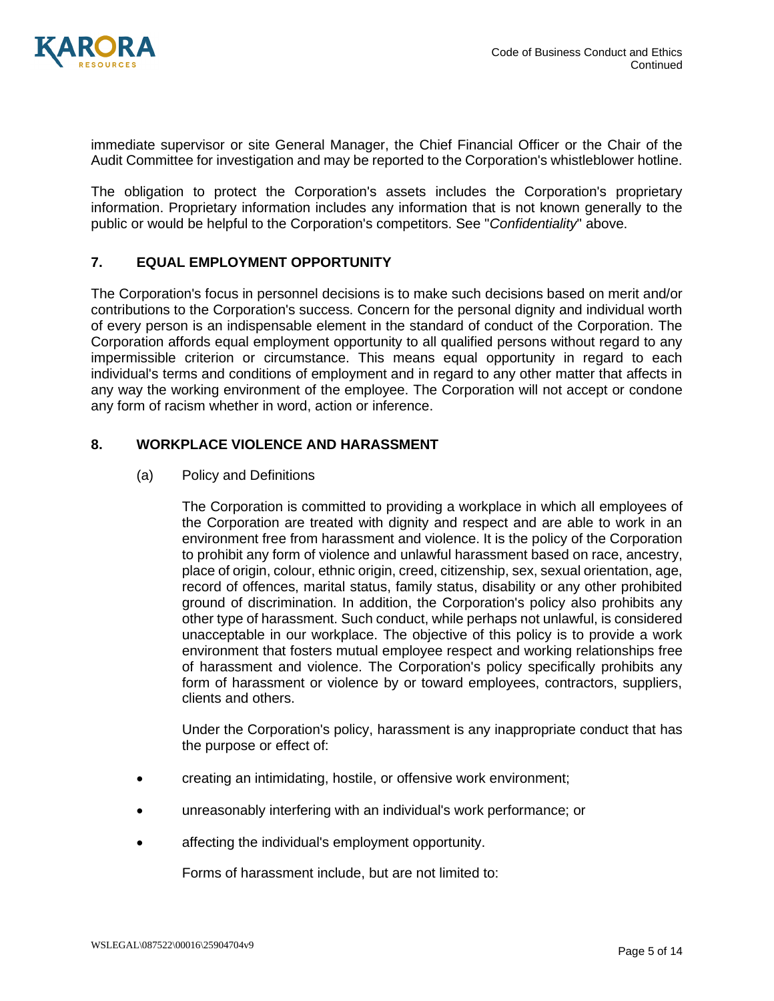

immediate supervisor or site General Manager, the Chief Financial Officer or the Chair of the Audit Committee for investigation and may be reported to the Corporation's whistleblower hotline.

The obligation to protect the Corporation's assets includes the Corporation's proprietary information. Proprietary information includes any information that is not known generally to the public or would be helpful to the Corporation's competitors. See "*Confidentiality*" above.

## **7. EQUAL EMPLOYMENT OPPORTUNITY**

The Corporation's focus in personnel decisions is to make such decisions based on merit and/or contributions to the Corporation's success. Concern for the personal dignity and individual worth of every person is an indispensable element in the standard of conduct of the Corporation. The Corporation affords equal employment opportunity to all qualified persons without regard to any impermissible criterion or circumstance. This means equal opportunity in regard to each individual's terms and conditions of employment and in regard to any other matter that affects in any way the working environment of the employee. The Corporation will not accept or condone any form of racism whether in word, action or inference.

## **8. WORKPLACE VIOLENCE AND HARASSMENT**

### (a) Policy and Definitions

The Corporation is committed to providing a workplace in which all employees of the Corporation are treated with dignity and respect and are able to work in an environment free from harassment and violence. It is the policy of the Corporation to prohibit any form of violence and unlawful harassment based on race, ancestry, place of origin, colour, ethnic origin, creed, citizenship, sex, sexual orientation, age, record of offences, marital status, family status, disability or any other prohibited ground of discrimination. In addition, the Corporation's policy also prohibits any other type of harassment. Such conduct, while perhaps not unlawful, is considered unacceptable in our workplace. The objective of this policy is to provide a work environment that fosters mutual employee respect and working relationships free of harassment and violence. The Corporation's policy specifically prohibits any form of harassment or violence by or toward employees, contractors, suppliers, clients and others.

Under the Corporation's policy, harassment is any inappropriate conduct that has the purpose or effect of:

- creating an intimidating, hostile, or offensive work environment;
- unreasonably interfering with an individual's work performance; or
- affecting the individual's employment opportunity.

Forms of harassment include, but are not limited to: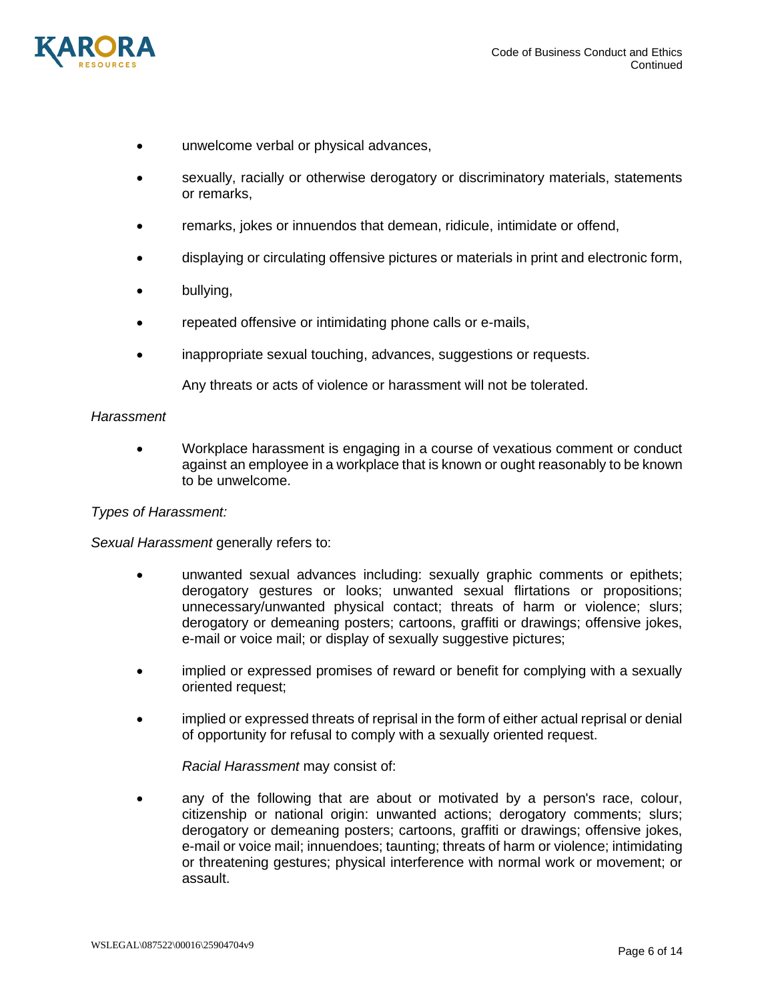

- unwelcome verbal or physical advances,
- sexually, racially or otherwise derogatory or discriminatory materials, statements or remarks,
- remarks, jokes or innuendos that demean, ridicule, intimidate or offend,
- displaying or circulating offensive pictures or materials in print and electronic form,
- bullying,
- repeated offensive or intimidating phone calls or e-mails,
- inappropriate sexual touching, advances, suggestions or requests.

Any threats or acts of violence or harassment will not be tolerated.

#### *Harassment*

• Workplace harassment is engaging in a course of vexatious comment or conduct against an employee in a workplace that is known or ought reasonably to be known to be unwelcome.

### *Types of Harassment:*

*Sexual Harassment* generally refers to:

- unwanted sexual advances including: sexually graphic comments or epithets; derogatory gestures or looks; unwanted sexual flirtations or propositions; unnecessary/unwanted physical contact; threats of harm or violence; slurs; derogatory or demeaning posters; cartoons, graffiti or drawings; offensive jokes, e-mail or voice mail; or display of sexually suggestive pictures;
- implied or expressed promises of reward or benefit for complying with a sexually oriented request;
- implied or expressed threats of reprisal in the form of either actual reprisal or denial of opportunity for refusal to comply with a sexually oriented request.

*Racial Harassment* may consist of:

• any of the following that are about or motivated by a person's race, colour, citizenship or national origin: unwanted actions; derogatory comments; slurs; derogatory or demeaning posters; cartoons, graffiti or drawings; offensive jokes, e-mail or voice mail; innuendoes; taunting; threats of harm or violence; intimidating or threatening gestures; physical interference with normal work or movement; or assault.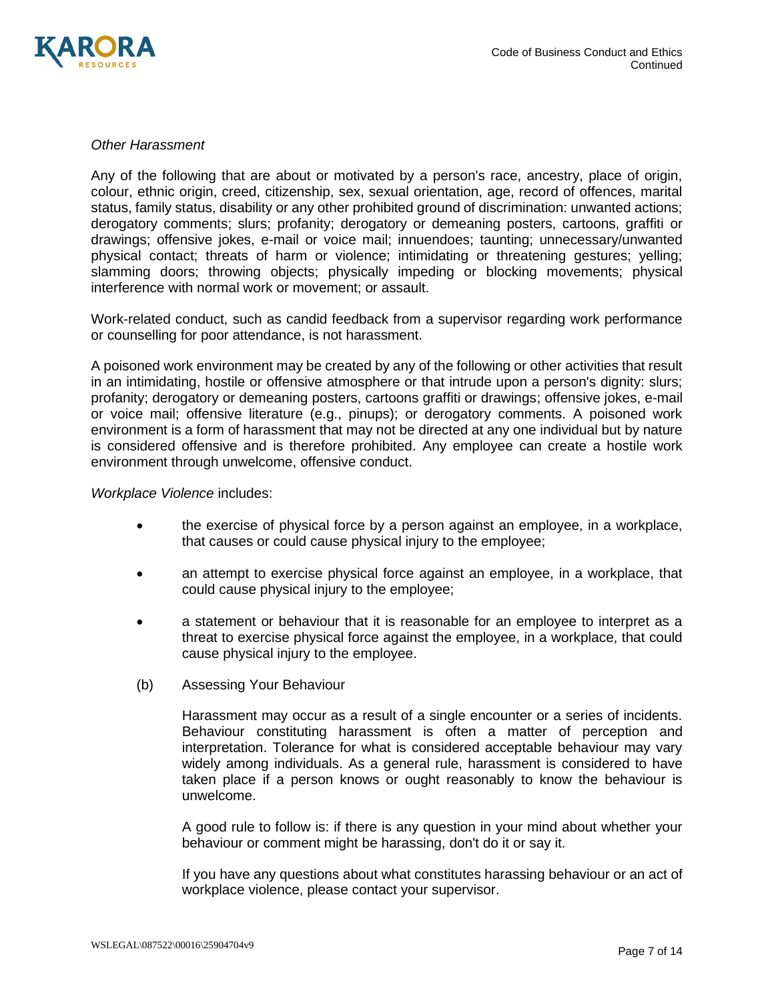

### *Other Harassment*

Any of the following that are about or motivated by a person's race, ancestry, place of origin, colour, ethnic origin, creed, citizenship, sex, sexual orientation, age, record of offences, marital status, family status, disability or any other prohibited ground of discrimination: unwanted actions; derogatory comments; slurs; profanity; derogatory or demeaning posters, cartoons, graffiti or drawings; offensive jokes, e-mail or voice mail; innuendoes; taunting; unnecessary/unwanted physical contact; threats of harm or violence; intimidating or threatening gestures; yelling; slamming doors; throwing objects; physically impeding or blocking movements; physical interference with normal work or movement; or assault.

Work-related conduct, such as candid feedback from a supervisor regarding work performance or counselling for poor attendance, is not harassment.

A poisoned work environment may be created by any of the following or other activities that result in an intimidating, hostile or offensive atmosphere or that intrude upon a person's dignity: slurs; profanity; derogatory or demeaning posters, cartoons graffiti or drawings; offensive jokes, e-mail or voice mail; offensive literature (e.g., pinups); or derogatory comments. A poisoned work environment is a form of harassment that may not be directed at any one individual but by nature is considered offensive and is therefore prohibited. Any employee can create a hostile work environment through unwelcome, offensive conduct.

#### *Workplace Violence* includes:

- the exercise of physical force by a person against an employee, in a workplace, that causes or could cause physical injury to the employee;
- an attempt to exercise physical force against an employee, in a workplace, that could cause physical injury to the employee;
- a statement or behaviour that it is reasonable for an employee to interpret as a threat to exercise physical force against the employee, in a workplace, that could cause physical injury to the employee.
- (b) Assessing Your Behaviour

Harassment may occur as a result of a single encounter or a series of incidents. Behaviour constituting harassment is often a matter of perception and interpretation. Tolerance for what is considered acceptable behaviour may vary widely among individuals. As a general rule, harassment is considered to have taken place if a person knows or ought reasonably to know the behaviour is unwelcome.

A good rule to follow is: if there is any question in your mind about whether your behaviour or comment might be harassing, don't do it or say it.

If you have any questions about what constitutes harassing behaviour or an act of workplace violence, please contact your supervisor.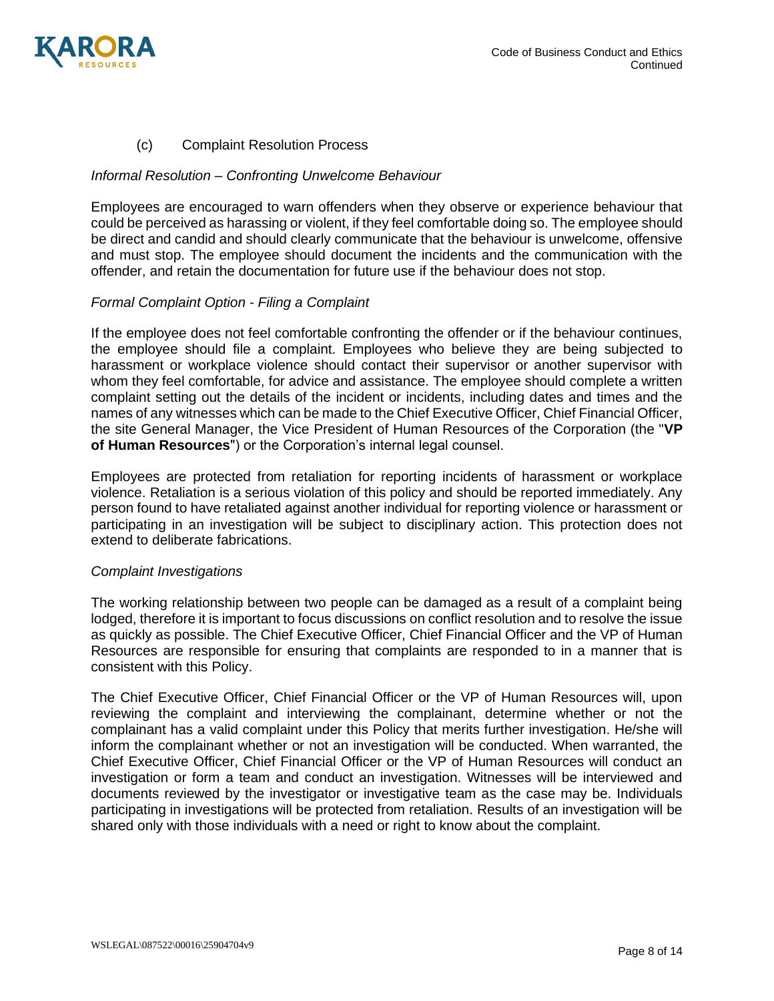

## (c) Complaint Resolution Process

### *Informal Resolution – Confronting Unwelcome Behaviour*

Employees are encouraged to warn offenders when they observe or experience behaviour that could be perceived as harassing or violent, if they feel comfortable doing so. The employee should be direct and candid and should clearly communicate that the behaviour is unwelcome, offensive and must stop. The employee should document the incidents and the communication with the offender, and retain the documentation for future use if the behaviour does not stop.

#### *Formal Complaint Option - Filing a Complaint*

If the employee does not feel comfortable confronting the offender or if the behaviour continues, the employee should file a complaint. Employees who believe they are being subjected to harassment or workplace violence should contact their supervisor or another supervisor with whom they feel comfortable, for advice and assistance. The employee should complete a written complaint setting out the details of the incident or incidents, including dates and times and the names of any witnesses which can be made to the Chief Executive Officer, Chief Financial Officer, the site General Manager, the Vice President of Human Resources of the Corporation (the "**VP of Human Resources**") or the Corporation's internal legal counsel.

Employees are protected from retaliation for reporting incidents of harassment or workplace violence. Retaliation is a serious violation of this policy and should be reported immediately. Any person found to have retaliated against another individual for reporting violence or harassment or participating in an investigation will be subject to disciplinary action. This protection does not extend to deliberate fabrications.

#### *Complaint Investigations*

The working relationship between two people can be damaged as a result of a complaint being lodged, therefore it is important to focus discussions on conflict resolution and to resolve the issue as quickly as possible. The Chief Executive Officer, Chief Financial Officer and the VP of Human Resources are responsible for ensuring that complaints are responded to in a manner that is consistent with this Policy.

The Chief Executive Officer, Chief Financial Officer or the VP of Human Resources will, upon reviewing the complaint and interviewing the complainant, determine whether or not the complainant has a valid complaint under this Policy that merits further investigation. He/she will inform the complainant whether or not an investigation will be conducted. When warranted, the Chief Executive Officer, Chief Financial Officer or the VP of Human Resources will conduct an investigation or form a team and conduct an investigation. Witnesses will be interviewed and documents reviewed by the investigator or investigative team as the case may be. Individuals participating in investigations will be protected from retaliation. Results of an investigation will be shared only with those individuals with a need or right to know about the complaint.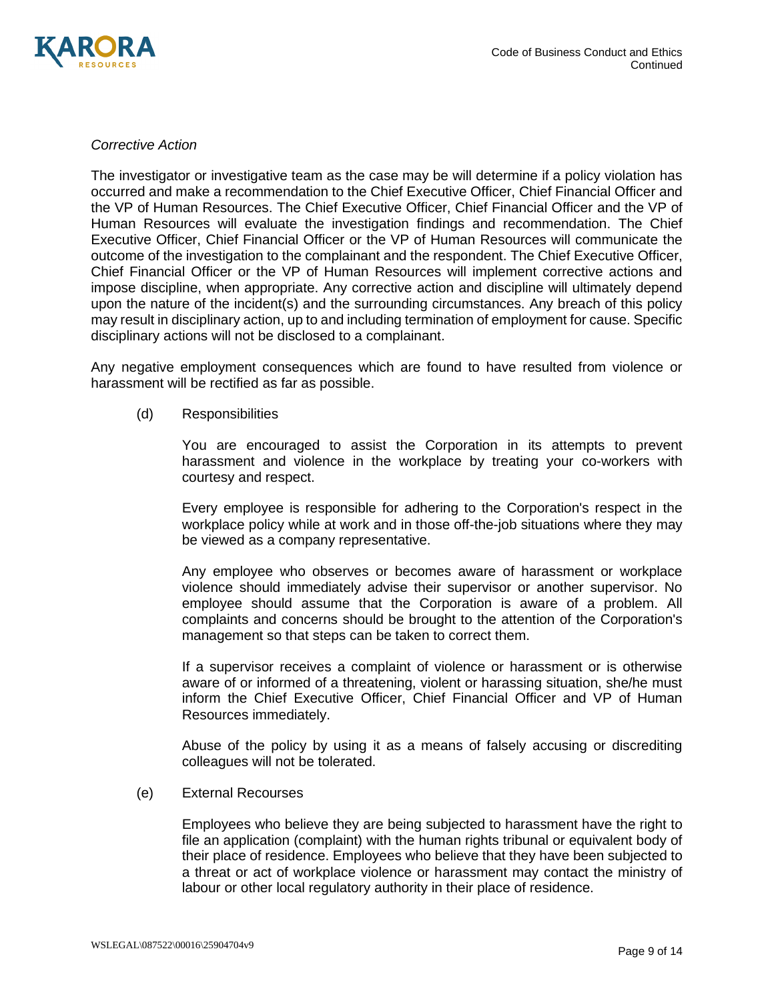

### *Corrective Action*

The investigator or investigative team as the case may be will determine if a policy violation has occurred and make a recommendation to the Chief Executive Officer, Chief Financial Officer and the VP of Human Resources. The Chief Executive Officer, Chief Financial Officer and the VP of Human Resources will evaluate the investigation findings and recommendation. The Chief Executive Officer, Chief Financial Officer or the VP of Human Resources will communicate the outcome of the investigation to the complainant and the respondent. The Chief Executive Officer, Chief Financial Officer or the VP of Human Resources will implement corrective actions and impose discipline, when appropriate. Any corrective action and discipline will ultimately depend upon the nature of the incident(s) and the surrounding circumstances. Any breach of this policy may result in disciplinary action, up to and including termination of employment for cause. Specific disciplinary actions will not be disclosed to a complainant.

Any negative employment consequences which are found to have resulted from violence or harassment will be rectified as far as possible.

(d) Responsibilities

You are encouraged to assist the Corporation in its attempts to prevent harassment and violence in the workplace by treating your co-workers with courtesy and respect.

Every employee is responsible for adhering to the Corporation's respect in the workplace policy while at work and in those off-the-job situations where they may be viewed as a company representative.

Any employee who observes or becomes aware of harassment or workplace violence should immediately advise their supervisor or another supervisor. No employee should assume that the Corporation is aware of a problem. All complaints and concerns should be brought to the attention of the Corporation's management so that steps can be taken to correct them.

If a supervisor receives a complaint of violence or harassment or is otherwise aware of or informed of a threatening, violent or harassing situation, she/he must inform the Chief Executive Officer, Chief Financial Officer and VP of Human Resources immediately.

Abuse of the policy by using it as a means of falsely accusing or discrediting colleagues will not be tolerated.

(e) External Recourses

Employees who believe they are being subjected to harassment have the right to file an application (complaint) with the human rights tribunal or equivalent body of their place of residence. Employees who believe that they have been subjected to a threat or act of workplace violence or harassment may contact the ministry of labour or other local regulatory authority in their place of residence.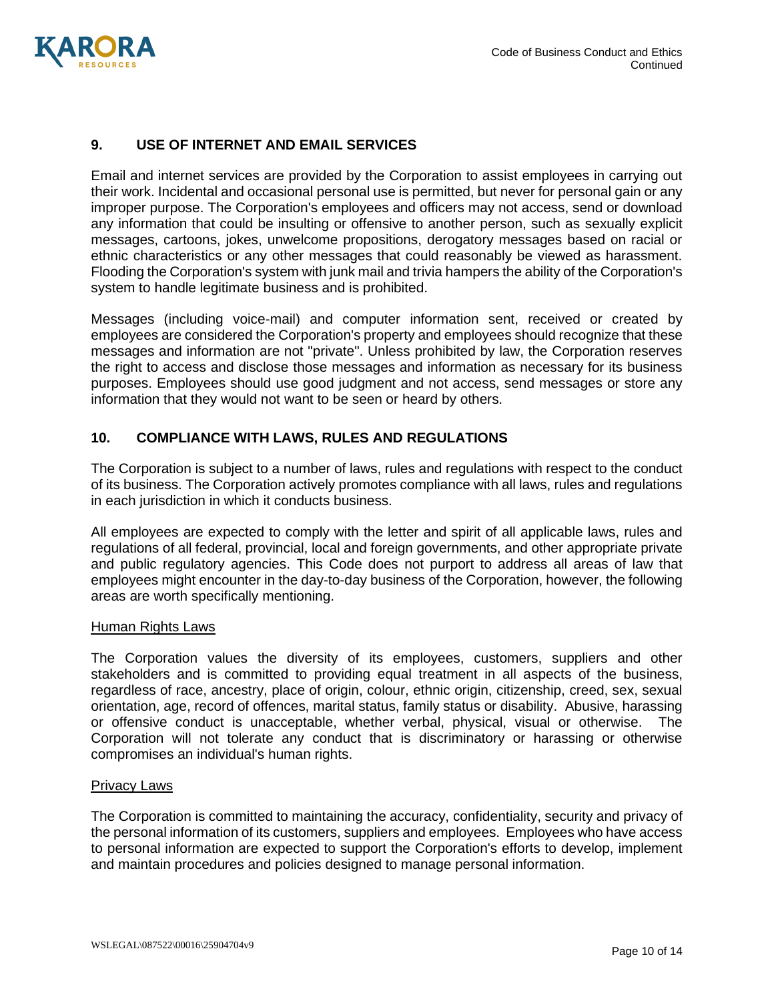

## **9. USE OF INTERNET AND EMAIL SERVICES**

Email and internet services are provided by the Corporation to assist employees in carrying out their work. Incidental and occasional personal use is permitted, but never for personal gain or any improper purpose. The Corporation's employees and officers may not access, send or download any information that could be insulting or offensive to another person, such as sexually explicit messages, cartoons, jokes, unwelcome propositions, derogatory messages based on racial or ethnic characteristics or any other messages that could reasonably be viewed as harassment. Flooding the Corporation's system with junk mail and trivia hampers the ability of the Corporation's system to handle legitimate business and is prohibited.

Messages (including voice-mail) and computer information sent, received or created by employees are considered the Corporation's property and employees should recognize that these messages and information are not "private". Unless prohibited by law, the Corporation reserves the right to access and disclose those messages and information as necessary for its business purposes. Employees should use good judgment and not access, send messages or store any information that they would not want to be seen or heard by others.

## **10. COMPLIANCE WITH LAWS, RULES AND REGULATIONS**

The Corporation is subject to a number of laws, rules and regulations with respect to the conduct of its business. The Corporation actively promotes compliance with all laws, rules and regulations in each jurisdiction in which it conducts business.

All employees are expected to comply with the letter and spirit of all applicable laws, rules and regulations of all federal, provincial, local and foreign governments, and other appropriate private and public regulatory agencies. This Code does not purport to address all areas of law that employees might encounter in the day-to-day business of the Corporation, however, the following areas are worth specifically mentioning.

#### Human Rights Laws

The Corporation values the diversity of its employees, customers, suppliers and other stakeholders and is committed to providing equal treatment in all aspects of the business, regardless of race, ancestry, place of origin, colour, ethnic origin, citizenship, creed, sex, sexual orientation, age, record of offences, marital status, family status or disability. Abusive, harassing or offensive conduct is unacceptable, whether verbal, physical, visual or otherwise. The Corporation will not tolerate any conduct that is discriminatory or harassing or otherwise compromises an individual's human rights.

#### Privacy Laws

The Corporation is committed to maintaining the accuracy, confidentiality, security and privacy of the personal information of its customers, suppliers and employees. Employees who have access to personal information are expected to support the Corporation's efforts to develop, implement and maintain procedures and policies designed to manage personal information.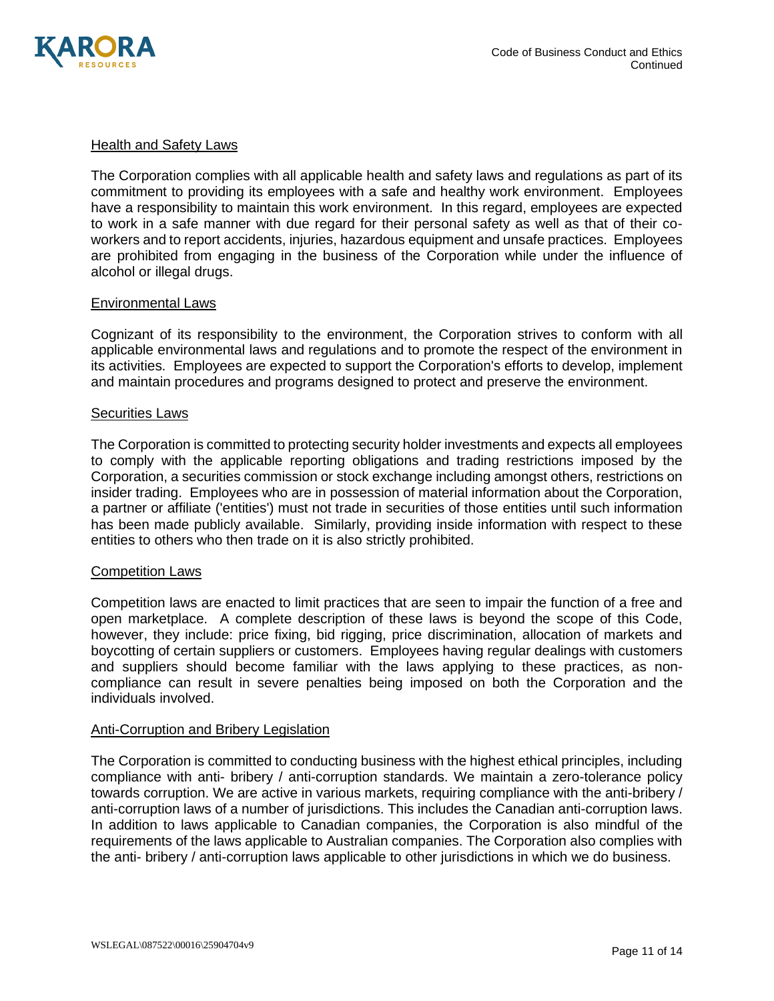

### Health and Safety Laws

The Corporation complies with all applicable health and safety laws and regulations as part of its commitment to providing its employees with a safe and healthy work environment. Employees have a responsibility to maintain this work environment. In this regard, employees are expected to work in a safe manner with due regard for their personal safety as well as that of their coworkers and to report accidents, injuries, hazardous equipment and unsafe practices. Employees are prohibited from engaging in the business of the Corporation while under the influence of alcohol or illegal drugs.

### Environmental Laws

Cognizant of its responsibility to the environment, the Corporation strives to conform with all applicable environmental laws and regulations and to promote the respect of the environment in its activities. Employees are expected to support the Corporation's efforts to develop, implement and maintain procedures and programs designed to protect and preserve the environment.

#### Securities Laws

The Corporation is committed to protecting security holder investments and expects all employees to comply with the applicable reporting obligations and trading restrictions imposed by the Corporation, a securities commission or stock exchange including amongst others, restrictions on insider trading. Employees who are in possession of material information about the Corporation, a partner or affiliate ('entities') must not trade in securities of those entities until such information has been made publicly available. Similarly, providing inside information with respect to these entities to others who then trade on it is also strictly prohibited.

#### Competition Laws

Competition laws are enacted to limit practices that are seen to impair the function of a free and open marketplace. A complete description of these laws is beyond the scope of this Code, however, they include: price fixing, bid rigging, price discrimination, allocation of markets and boycotting of certain suppliers or customers. Employees having regular dealings with customers and suppliers should become familiar with the laws applying to these practices, as noncompliance can result in severe penalties being imposed on both the Corporation and the individuals involved.

#### Anti-Corruption and Bribery Legislation

The Corporation is committed to conducting business with the highest ethical principles, including compliance with anti- bribery / anti-corruption standards. We maintain a zero-tolerance policy towards corruption. We are active in various markets, requiring compliance with the anti-bribery / anti-corruption laws of a number of jurisdictions. This includes the Canadian anti-corruption laws. In addition to laws applicable to Canadian companies, the Corporation is also mindful of the requirements of the laws applicable to Australian companies. The Corporation also complies with the anti- bribery / anti-corruption laws applicable to other jurisdictions in which we do business.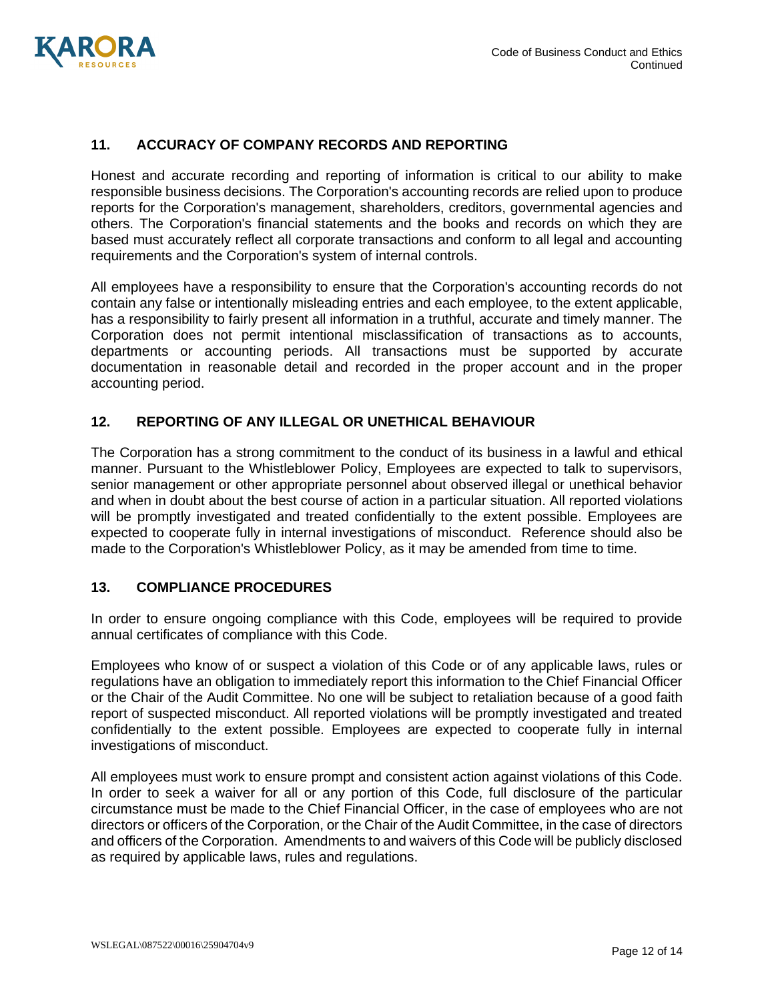

## **11. ACCURACY OF COMPANY RECORDS AND REPORTING**

Honest and accurate recording and reporting of information is critical to our ability to make responsible business decisions. The Corporation's accounting records are relied upon to produce reports for the Corporation's management, shareholders, creditors, governmental agencies and others. The Corporation's financial statements and the books and records on which they are based must accurately reflect all corporate transactions and conform to all legal and accounting requirements and the Corporation's system of internal controls.

All employees have a responsibility to ensure that the Corporation's accounting records do not contain any false or intentionally misleading entries and each employee, to the extent applicable, has a responsibility to fairly present all information in a truthful, accurate and timely manner. The Corporation does not permit intentional misclassification of transactions as to accounts, departments or accounting periods. All transactions must be supported by accurate documentation in reasonable detail and recorded in the proper account and in the proper accounting period.

### **12. REPORTING OF ANY ILLEGAL OR UNETHICAL BEHAVIOUR**

The Corporation has a strong commitment to the conduct of its business in a lawful and ethical manner. Pursuant to the Whistleblower Policy, Employees are expected to talk to supervisors, senior management or other appropriate personnel about observed illegal or unethical behavior and when in doubt about the best course of action in a particular situation. All reported violations will be promptly investigated and treated confidentially to the extent possible. Employees are expected to cooperate fully in internal investigations of misconduct. Reference should also be made to the Corporation's Whistleblower Policy, as it may be amended from time to time.

### **13. COMPLIANCE PROCEDURES**

In order to ensure ongoing compliance with this Code, employees will be required to provide annual certificates of compliance with this Code.

Employees who know of or suspect a violation of this Code or of any applicable laws, rules or regulations have an obligation to immediately report this information to the Chief Financial Officer or the Chair of the Audit Committee. No one will be subject to retaliation because of a good faith report of suspected misconduct. All reported violations will be promptly investigated and treated confidentially to the extent possible. Employees are expected to cooperate fully in internal investigations of misconduct.

All employees must work to ensure prompt and consistent action against violations of this Code. In order to seek a waiver for all or any portion of this Code, full disclosure of the particular circumstance must be made to the Chief Financial Officer, in the case of employees who are not directors or officers of the Corporation, or the Chair of the Audit Committee, in the case of directors and officers of the Corporation. Amendments to and waivers of this Code will be publicly disclosed as required by applicable laws, rules and regulations.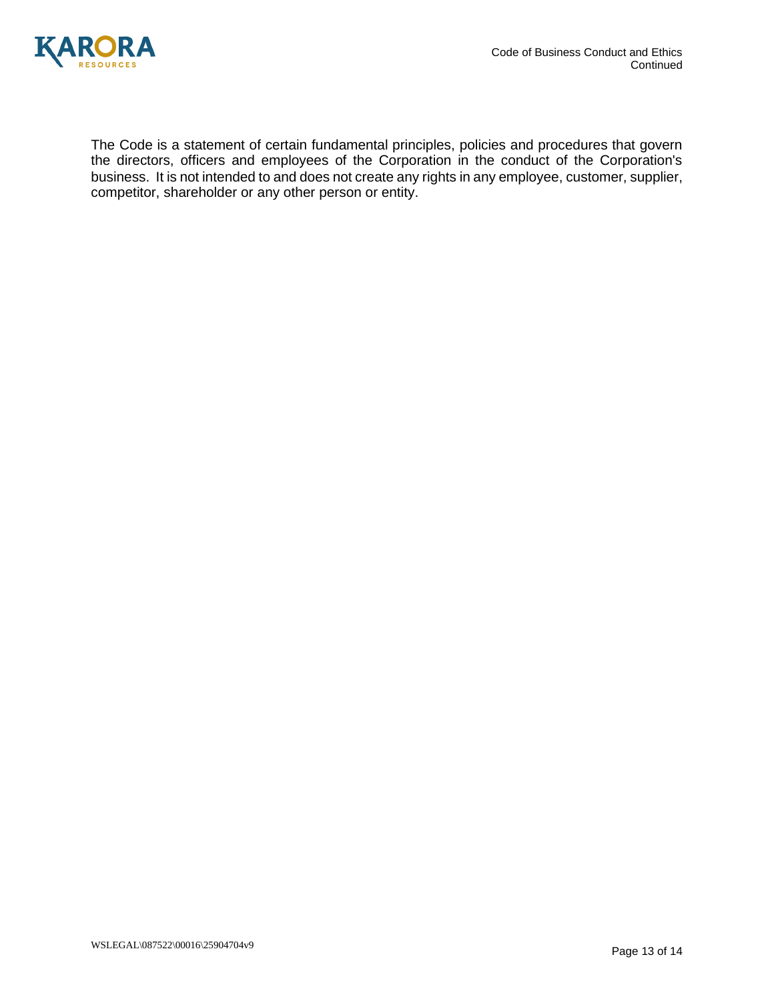



The Code is a statement of certain fundamental principles, policies and procedures that govern the directors, officers and employees of the Corporation in the conduct of the Corporation's business. It is not intended to and does not create any rights in any employee, customer, supplier, competitor, shareholder or any other person or entity.